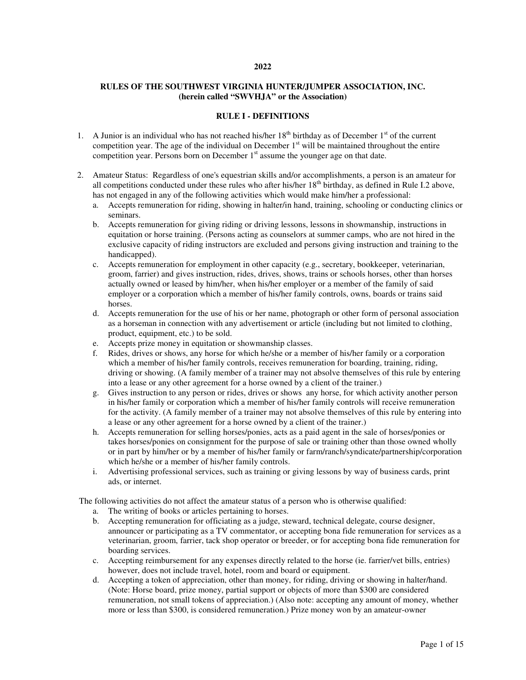#### **2022**

### **RULES OF THE SOUTHWEST VIRGINIA HUNTER/JUMPER ASSOCIATION, INC. (herein called "SWVHJA" or the Association)**

### **RULE I - DEFINITIONS**

- 1. A Junior is an individual who has not reached his/her  $18<sup>th</sup>$  birthday as of December  $1<sup>st</sup>$  of the current competition year. The age of the individual on December  $1<sup>st</sup>$  will be maintained throughout the entire competition year. Persons born on December 1<sup>st</sup> assume the younger age on that date.
- 2. Amateur Status: Regardless of one's equestrian skills and/or accomplishments, a person is an amateur for all competitions conducted under these rules who after his/her  $18<sup>th</sup>$  birthday, as defined in Rule I.2 above, has not engaged in any of the following activities which would make him/her a professional:
	- a. Accepts remuneration for riding, showing in halter/in hand, training, schooling or conducting clinics or seminars.
	- b. Accepts remuneration for giving riding or driving lessons, lessons in showmanship, instructions in equitation or horse training. (Persons acting as counselors at summer camps, who are not hired in the exclusive capacity of riding instructors are excluded and persons giving instruction and training to the handicapped).
	- c. Accepts remuneration for employment in other capacity (e.g., secretary, bookkeeper, veterinarian, groom, farrier) and gives instruction, rides, drives, shows, trains or schools horses, other than horses actually owned or leased by him/her, when his/her employer or a member of the family of said employer or a corporation which a member of his/her family controls, owns, boards or trains said horses.
	- d. Accepts remuneration for the use of his or her name, photograph or other form of personal association as a horseman in connection with any advertisement or article (including but not limited to clothing, product, equipment, etc.) to be sold.
	- e. Accepts prize money in equitation or showmanship classes.
	- f. Rides, drives or shows, any horse for which he/she or a member of his/her family or a corporation which a member of his/her family controls, receives remuneration for boarding, training, riding, driving or showing. (A family member of a trainer may not absolve themselves of this rule by entering into a lease or any other agreement for a horse owned by a client of the trainer.)
	- g. Gives instruction to any person or rides, drives or shows any horse, for which activity another person in his/her family or corporation which a member of his/her family controls will receive remuneration for the activity. (A family member of a trainer may not absolve themselves of this rule by entering into a lease or any other agreement for a horse owned by a client of the trainer.)
	- h. Accepts remuneration for selling horses/ponies, acts as a paid agent in the sale of horses/ponies or takes horses/ponies on consignment for the purpose of sale or training other than those owned wholly or in part by him/her or by a member of his/her family or farm/ranch/syndicate/partnership/corporation which he/she or a member of his/her family controls.
	- i. Advertising professional services, such as training or giving lessons by way of business cards, print ads, or internet.

The following activities do not affect the amateur status of a person who is otherwise qualified:

- a. The writing of books or articles pertaining to horses.
- b. Accepting remuneration for officiating as a judge, steward, technical delegate, course designer, announcer or participating as a TV commentator, or accepting bona fide remuneration for services as a veterinarian, groom, farrier, tack shop operator or breeder, or for accepting bona fide remuneration for boarding services.
- c. Accepting reimbursement for any expenses directly related to the horse (ie. farrier/vet bills, entries) however, does not include travel, hotel, room and board or equipment.
- d. Accepting a token of appreciation, other than money, for riding, driving or showing in halter/hand. (Note: Horse board, prize money, partial support or objects of more than \$300 are considered remuneration, not small tokens of appreciation.) (Also note: accepting any amount of money, whether more or less than \$300, is considered remuneration.) Prize money won by an amateur-owner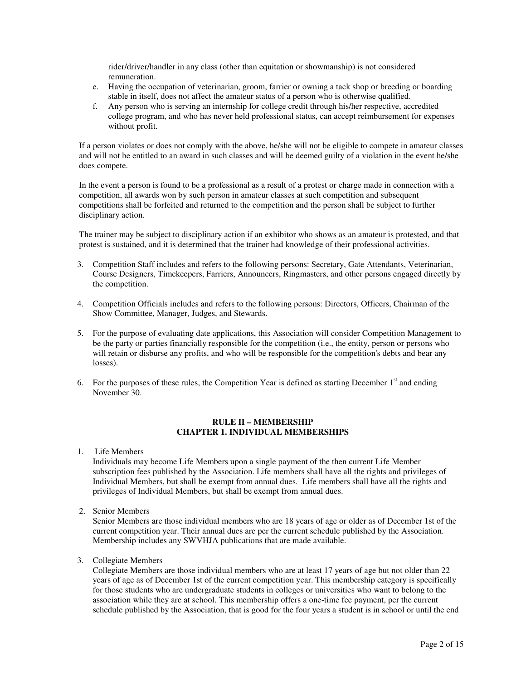rider/driver/handler in any class (other than equitation or showmanship) is not considered remuneration.

- e. Having the occupation of veterinarian, groom, farrier or owning a tack shop or breeding or boarding stable in itself, does not affect the amateur status of a person who is otherwise qualified.
- f. Any person who is serving an internship for college credit through his/her respective, accredited college program, and who has never held professional status, can accept reimbursement for expenses without profit.

If a person violates or does not comply with the above, he/she will not be eligible to compete in amateur classes and will not be entitled to an award in such classes and will be deemed guilty of a violation in the event he/she does compete.

In the event a person is found to be a professional as a result of a protest or charge made in connection with a competition, all awards won by such person in amateur classes at such competition and subsequent competitions shall be forfeited and returned to the competition and the person shall be subject to further disciplinary action.

The trainer may be subject to disciplinary action if an exhibitor who shows as an amateur is protested, and that protest is sustained, and it is determined that the trainer had knowledge of their professional activities.

- 3. Competition Staff includes and refers to the following persons: Secretary, Gate Attendants, Veterinarian, Course Designers, Timekeepers, Farriers, Announcers, Ringmasters, and other persons engaged directly by the competition.
- 4. Competition Officials includes and refers to the following persons: Directors, Officers, Chairman of the Show Committee, Manager, Judges, and Stewards.
- 5. For the purpose of evaluating date applications, this Association will consider Competition Management to be the party or parties financially responsible for the competition (i.e., the entity, person or persons who will retain or disburse any profits, and who will be responsible for the competition's debts and bear any losses).
- 6. For the purposes of these rules, the Competition Year is defined as starting December  $1<sup>st</sup>$  and ending November 30.

## **RULE II – MEMBERSHIP CHAPTER 1. INDIVIDUAL MEMBERSHIPS**

1. Life Members

Individuals may become Life Members upon a single payment of the then current Life Member subscription fees published by the Association. Life members shall have all the rights and privileges of Individual Members, but shall be exempt from annual dues. Life members shall have all the rights and privileges of Individual Members, but shall be exempt from annual dues.

2. Senior Members

Senior Members are those individual members who are 18 years of age or older as of December 1st of the current competition year. Their annual dues are per the current schedule published by the Association. Membership includes any SWVHJA publications that are made available.

3. Collegiate Members

Collegiate Members are those individual members who are at least 17 years of age but not older than 22 years of age as of December 1st of the current competition year. This membership category is specifically for those students who are undergraduate students in colleges or universities who want to belong to the association while they are at school. This membership offers a one-time fee payment, per the current schedule published by the Association, that is good for the four years a student is in school or until the end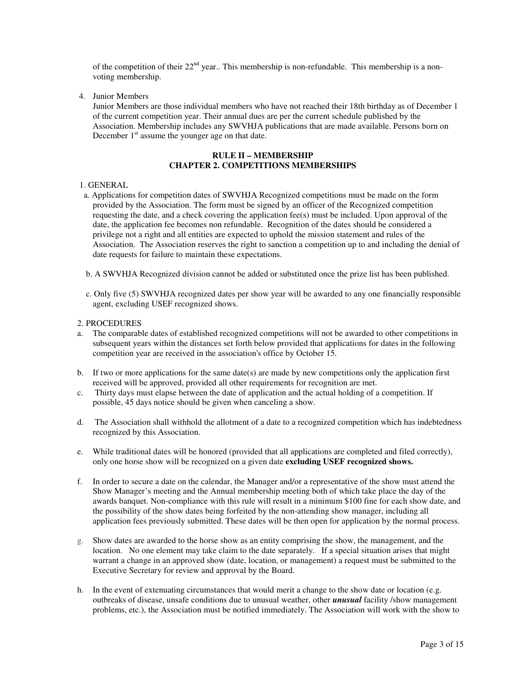of the competition of their  $22<sup>nd</sup>$  year.. This membership is non-refundable. This membership is a nonvoting membership.

4. Junior Members

Junior Members are those individual members who have not reached their 18th birthday as of December 1 of the current competition year. Their annual dues are per the current schedule published by the Association. Membership includes any SWVHJA publications that are made available. Persons born on December  $1<sup>st</sup>$  assume the younger age on that date.

## **RULE II – MEMBERSHIP CHAPTER 2. COMPETITIONS MEMBERSHIPS**

### 1. GENERAL

- a. Applications for competition dates of SWVHJA Recognized competitions must be made on the form provided by the Association. The form must be signed by an officer of the Recognized competition requesting the date, and a check covering the application fee(s) must be included. Upon approval of the date, the application fee becomes non refundable. Recognition of the dates should be considered a privilege not a right and all entities are expected to uphold the mission statement and rules of the Association. The Association reserves the right to sanction a competition up to and including the denial of date requests for failure to maintain these expectations.
- b. A SWVHJA Recognized division cannot be added or substituted once the prize list has been published.
- c. Only five (5) SWVHJA recognized dates per show year will be awarded to any one financially responsible agent, excluding USEF recognized shows.

#### 2. PROCEDURES

- a. The comparable dates of established recognized competitions will not be awarded to other competitions in subsequent years within the distances set forth below provided that applications for dates in the following competition year are received in the association's office by October 15.
- b. If two or more applications for the same date(s) are made by new competitions only the application first received will be approved, provided all other requirements for recognition are met.
- c. Thirty days must elapse between the date of application and the actual holding of a competition. If possible, 45 days notice should be given when canceling a show.
- d. The Association shall withhold the allotment of a date to a recognized competition which has indebtedness recognized by this Association.
- e. While traditional dates will be honored (provided that all applications are completed and filed correctly), only one horse show will be recognized on a given date **excluding USEF recognized shows.**
- f. In order to secure a date on the calendar, the Manager and/or a representative of the show must attend the Show Manager's meeting and the Annual membership meeting both of which take place the day of the awards banquet. Non-compliance with this rule will result in a minimum \$100 fine for each show date, and the possibility of the show dates being forfeited by the non-attending show manager, including all application fees previously submitted. These dates will be then open for application by the normal process.
- g. Show dates are awarded to the horse show as an entity comprising the show, the management, and the location. No one element may take claim to the date separately. If a special situation arises that might warrant a change in an approved show (date, location, or management) a request must be submitted to the Executive Secretary for review and approval by the Board.
- h. In the event of extenuating circumstances that would merit a change to the show date or location (e.g. outbreaks of disease, unsafe conditions due to unusual weather, other *unusual* facility /show management problems, etc.), the Association must be notified immediately. The Association will work with the show to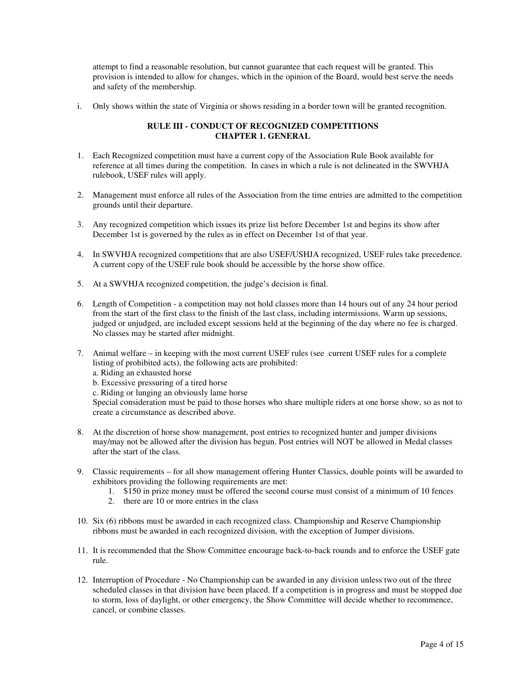attempt to find a reasonable resolution, but cannot guarantee that each request will be granted. This provision is intended to allow for changes, which in the opinion of the Board, would best serve the needs and safety of the membership.

i. Only shows within the state of Virginia or shows residing in a border town will be granted recognition.

## **RULE III - CONDUCT OF RECOGNIZED COMPETITIONS CHAPTER 1. GENERAL**

- 1. Each Recognized competition must have a current copy of the Association Rule Book available for reference at all times during the competition. In cases in which a rule is not delineated in the SWVHJA rulebook, USEF rules will apply.
- 2. Management must enforce all rules of the Association from the time entries are admitted to the competition grounds until their departure.
- 3. Any recognized competition which issues its prize list before December 1st and begins its show after December 1st is governed by the rules as in effect on December 1st of that year.
- 4. In SWVHJA recognized competitions that are also USEF/USHJA recognized, USEF rules take precedence. A current copy of the USEF rule book should be accessible by the horse show office.
- 5. At a SWVHJA recognized competition, the judge's decision is final.
- 6. Length of Competition a competition may not hold classes more than 14 hours out of any 24 hour period from the start of the first class to the finish of the last class, including intermissions. Warm up sessions, judged or unjudged, are included except sessions held at the beginning of the day where no fee is charged. No classes may be started after midnight.
- 7. Animal welfare in keeping with the most current USEF rules (see current USEF rules for a complete listing of prohibited acts), the following acts are prohibited:
	- a. Riding an exhausted horse
	- b. Excessive pressuring of a tired horse
	- c. Riding or lunging an obviously lame horse

Special consideration must be paid to those horses who share multiple riders at one horse show, so as not to create a circumstance as described above.

- 8. At the discretion of horse show management, post entries to recognized hunter and jumper divisions may/may not be allowed after the division has begun. Post entries will NOT be allowed in Medal classes after the start of the class.
- 9. Classic requirements for all show management offering Hunter Classics, double points will be awarded to exhibitors providing the following requirements are met:
	- 1. \$150 in prize money must be offered the second course must consist of a minimum of 10 fences
	- 2. there are 10 or more entries in the class
- 10. Six (6) ribbons must be awarded in each recognized class. Championship and Reserve Championship ribbons must be awarded in each recognized division, with the exception of Jumper divisions.
- 11. It is recommended that the Show Committee encourage back-to-back rounds and to enforce the USEF gate rule.
- 12. Interruption of Procedure No Championship can be awarded in any division unless two out of the three scheduled classes in that division have been placed. If a competition is in progress and must be stopped due to storm, loss of daylight, or other emergency, the Show Committee will decide whether to recommence, cancel, or combine classes.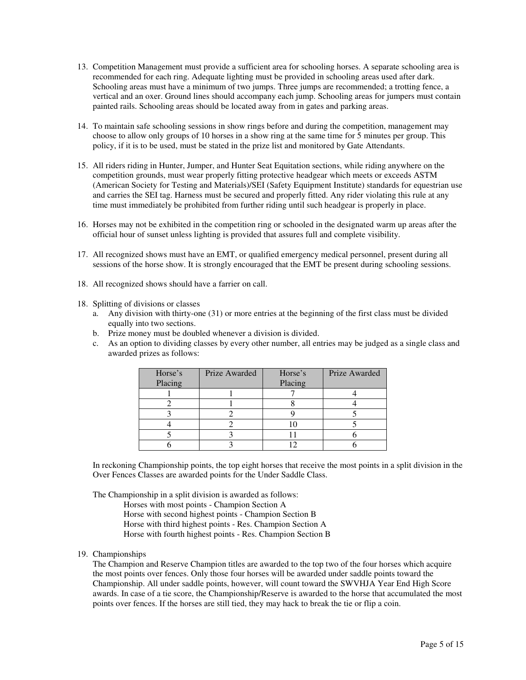- 13. Competition Management must provide a sufficient area for schooling horses. A separate schooling area is recommended for each ring. Adequate lighting must be provided in schooling areas used after dark. Schooling areas must have a minimum of two jumps. Three jumps are recommended; a trotting fence, a vertical and an oxer. Ground lines should accompany each jump. Schooling areas for jumpers must contain painted rails. Schooling areas should be located away from in gates and parking areas.
- 14. To maintain safe schooling sessions in show rings before and during the competition, management may choose to allow only groups of 10 horses in a show ring at the same time for 5 minutes per group. This policy, if it is to be used, must be stated in the prize list and monitored by Gate Attendants.
- 15. All riders riding in Hunter, Jumper, and Hunter Seat Equitation sections, while riding anywhere on the competition grounds, must wear properly fitting protective headgear which meets or exceeds ASTM (American Society for Testing and Materials)/SEI (Safety Equipment Institute) standards for equestrian use and carries the SEI tag. Harness must be secured and properly fitted. Any rider violating this rule at any time must immediately be prohibited from further riding until such headgear is properly in place.
- 16. Horses may not be exhibited in the competition ring or schooled in the designated warm up areas after the official hour of sunset unless lighting is provided that assures full and complete visibility.
- 17. All recognized shows must have an EMT, or qualified emergency medical personnel, present during all sessions of the horse show. It is strongly encouraged that the EMT be present during schooling sessions.
- 18. All recognized shows should have a farrier on call.
- 18. Splitting of divisions or classes
	- a. Any division with thirty-one (31) or more entries at the beginning of the first class must be divided equally into two sections.
	- b. Prize money must be doubled whenever a division is divided.
	- c. As an option to dividing classes by every other number, all entries may be judged as a single class and awarded prizes as follows:

| Horse's<br>Placing | Prize Awarded | Horse's<br>Placing | Prize Awarded |
|--------------------|---------------|--------------------|---------------|
|                    |               |                    |               |
|                    |               |                    |               |
|                    |               |                    |               |
|                    |               |                    |               |
|                    |               |                    |               |
|                    |               |                    |               |

In reckoning Championship points, the top eight horses that receive the most points in a split division in the Over Fences Classes are awarded points for the Under Saddle Class.

The Championship in a split division is awarded as follows:

Horses with most points - Champion Section A

- Horse with second highest points Champion Section B
- Horse with third highest points Res. Champion Section A

Horse with fourth highest points - Res. Champion Section B

19. Championships

The Champion and Reserve Champion titles are awarded to the top two of the four horses which acquire the most points over fences. Only those four horses will be awarded under saddle points toward the Championship. All under saddle points, however, will count toward the SWVHJA Year End High Score awards. In case of a tie score, the Championship/Reserve is awarded to the horse that accumulated the most points over fences. If the horses are still tied, they may hack to break the tie or flip a coin.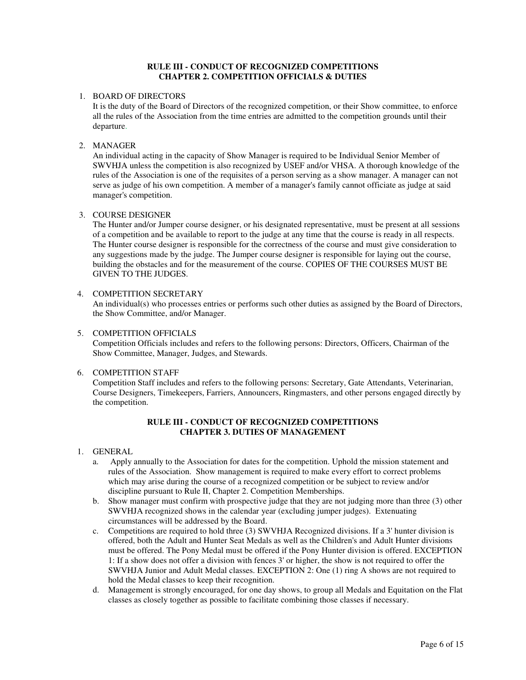### **RULE III - CONDUCT OF RECOGNIZED COMPETITIONS CHAPTER 2. COMPETITION OFFICIALS & DUTIES**

### 1. BOARD OF DIRECTORS

It is the duty of the Board of Directors of the recognized competition, or their Show committee, to enforce all the rules of the Association from the time entries are admitted to the competition grounds until their departure.

### 2. MANAGER

An individual acting in the capacity of Show Manager is required to be Individual Senior Member of SWVHJA unless the competition is also recognized by USEF and/or VHSA. A thorough knowledge of the rules of the Association is one of the requisites of a person serving as a show manager. A manager can not serve as judge of his own competition. A member of a manager's family cannot officiate as judge at said manager's competition.

### 3. COURSE DESIGNER

The Hunter and/or Jumper course designer, or his designated representative, must be present at all sessions of a competition and be available to report to the judge at any time that the course is ready in all respects. The Hunter course designer is responsible for the correctness of the course and must give consideration to any suggestions made by the judge. The Jumper course designer is responsible for laying out the course, building the obstacles and for the measurement of the course. COPIES OF THE COURSES MUST BE GIVEN TO THE JUDGES.

#### 4. COMPETITION SECRETARY

An individual(s) who processes entries or performs such other duties as assigned by the Board of Directors, the Show Committee, and/or Manager.

### 5. COMPETITION OFFICIALS

Competition Officials includes and refers to the following persons: Directors, Officers, Chairman of the Show Committee, Manager, Judges, and Stewards.

### 6. COMPETITION STAFF

Competition Staff includes and refers to the following persons: Secretary, Gate Attendants, Veterinarian, Course Designers, Timekeepers, Farriers, Announcers, Ringmasters, and other persons engaged directly by the competition.

## **RULE III - CONDUCT OF RECOGNIZED COMPETITIONS CHAPTER 3. DUTIES OF MANAGEMENT**

#### 1. GENERAL

- a. Apply annually to the Association for dates for the competition. Uphold the mission statement and rules of the Association. Show management is required to make every effort to correct problems which may arise during the course of a recognized competition or be subject to review and/or discipline pursuant to Rule II, Chapter 2. Competition Memberships.
- b. Show manager must confirm with prospective judge that they are not judging more than three (3) other SWVHJA recognized shows in the calendar year (excluding jumper judges). Extenuating circumstances will be addressed by the Board.
- c. Competitions are required to hold three (3) SWVHJA Recognized divisions. If a 3' hunter division is offered, both the Adult and Hunter Seat Medals as well as the Children's and Adult Hunter divisions must be offered. The Pony Medal must be offered if the Pony Hunter division is offered. EXCEPTION 1: If a show does not offer a division with fences 3' or higher, the show is not required to offer the SWVHJA Junior and Adult Medal classes. EXCEPTION 2: One (1) ring A shows are not required to hold the Medal classes to keep their recognition.
- d. Management is strongly encouraged, for one day shows, to group all Medals and Equitation on the Flat classes as closely together as possible to facilitate combining those classes if necessary.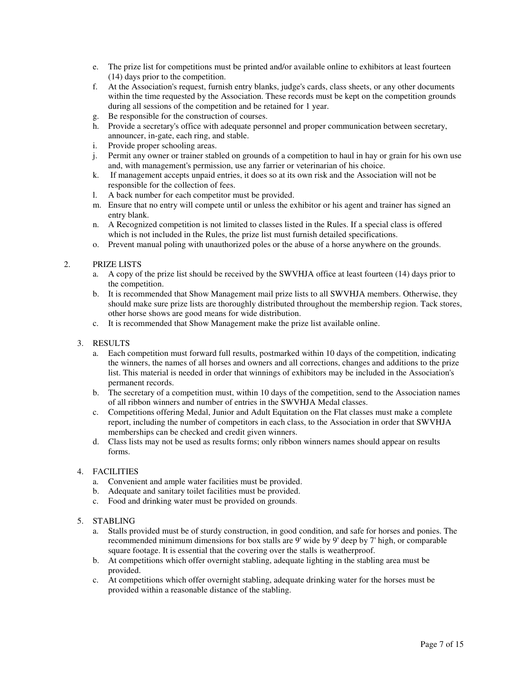- e. The prize list for competitions must be printed and/or available online to exhibitors at least fourteen (14) days prior to the competition.
- f. At the Association's request, furnish entry blanks, judge's cards, class sheets, or any other documents within the time requested by the Association. These records must be kept on the competition grounds during all sessions of the competition and be retained for 1 year.
- g. Be responsible for the construction of courses.
- h. Provide a secretary's office with adequate personnel and proper communication between secretary, announcer, in-gate, each ring, and stable.
- i. Provide proper schooling areas.
- j. Permit any owner or trainer stabled on grounds of a competition to haul in hay or grain for his own use and, with management's permission, use any farrier or veterinarian of his choice.
- k. If management accepts unpaid entries, it does so at its own risk and the Association will not be responsible for the collection of fees.
- l. A back number for each competitor must be provided.
- m. Ensure that no entry will compete until or unless the exhibitor or his agent and trainer has signed an entry blank.
- n. A Recognized competition is not limited to classes listed in the Rules. If a special class is offered which is not included in the Rules, the prize list must furnish detailed specifications.
- o. Prevent manual poling with unauthorized poles or the abuse of a horse anywhere on the grounds.

### 2. PRIZE LISTS

- a. A copy of the prize list should be received by the SWVHJA office at least fourteen (14) days prior to the competition.
- b. It is recommended that Show Management mail prize lists to all SWVHJA members. Otherwise, they should make sure prize lists are thoroughly distributed throughout the membership region. Tack stores, other horse shows are good means for wide distribution.
- c. It is recommended that Show Management make the prize list available online.
- 3. RESULTS
	- a. Each competition must forward full results, postmarked within 10 days of the competition, indicating the winners, the names of all horses and owners and all corrections, changes and additions to the prize list. This material is needed in order that winnings of exhibitors may be included in the Association's permanent records.
	- b. The secretary of a competition must, within 10 days of the competition, send to the Association names of all ribbon winners and number of entries in the SWVHJA Medal classes.
	- c. Competitions offering Medal, Junior and Adult Equitation on the Flat classes must make a complete report, including the number of competitors in each class, to the Association in order that SWVHJA memberships can be checked and credit given winners.
	- d. Class lists may not be used as results forms; only ribbon winners names should appear on results forms.

#### 4. FACILITIES

- a. Convenient and ample water facilities must be provided.
- b. Adequate and sanitary toilet facilities must be provided.
- c. Food and drinking water must be provided on grounds.
- 5. STABLING
	- a. Stalls provided must be of sturdy construction, in good condition, and safe for horses and ponies. The recommended minimum dimensions for box stalls are 9' wide by 9' deep by 7' high, or comparable square footage. It is essential that the covering over the stalls is weatherproof.
	- b. At competitions which offer overnight stabling, adequate lighting in the stabling area must be provided.
	- c. At competitions which offer overnight stabling, adequate drinking water for the horses must be provided within a reasonable distance of the stabling.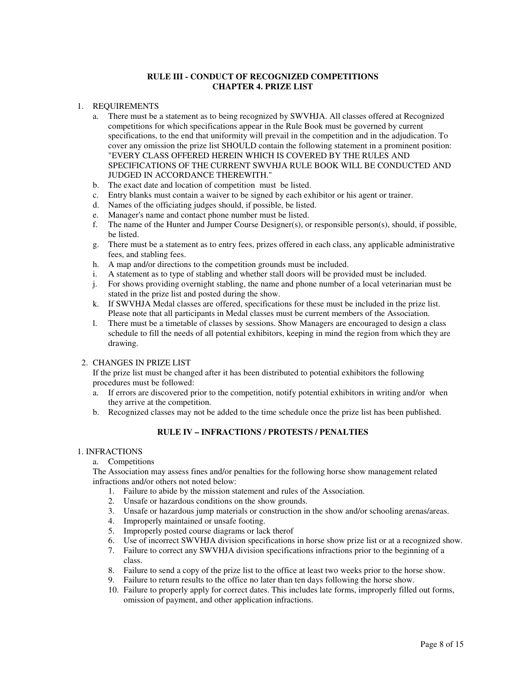### **RULE III - CONDUCT OF RECOGNIZED COMPETITIONS CHAPTER 4. PRIZE LIST**

### 1. REQUIREMENTS

- a. There must be a statement as to being recognized by SWVHJA. All classes offered at Recognized competitions for which specifications appear in the Rule Book must be governed by current specifications, to the end that uniformity will prevail in the competition and in the adjudication. To cover any omission the prize list SHOULD contain the following statement in a prominent position: "EVERY CLASS OFFERED HEREIN WHICH IS COVERED BY THE RULES AND SPECIFICATIONS OF THE CURRENT SWVHJA RULE BOOK WILL BE CONDUCTED AND JUDGED IN ACCORDANCE THEREWITH."
- b. The exact date and location of competition must be listed.
- c. Entry blanks must contain a waiver to be signed by each exhibitor or his agent or trainer.
- d. Names of the officiating judges should, if possible, be listed.
- e. Manager's name and contact phone number must be listed.
- f. The name of the Hunter and Jumper Course Designer(s), or responsible person(s), should, if possible, be listed.
- g. There must be a statement as to entry fees, prizes offered in each class, any applicable administrative fees, and stabling fees.
- h. A map and/or directions to the competition grounds must be included.
- i. A statement as to type of stabling and whether stall doors will be provided must be included.
- j. For shows providing overnight stabling, the name and phone number of a local veterinarian must be stated in the prize list and posted during the show.
- k. If SWVHJA Medal classes are offered, specifications for these must be included in the prize list. Please note that all participants in Medal classes must be current members of the Association.
- l. There must be a timetable of classes by sessions. Show Managers are encouraged to design a class schedule to fill the needs of all potential exhibitors, keeping in mind the region from which they are drawing.

#### 2. CHANGES IN PRIZE LIST

If the prize list must be changed after it has been distributed to potential exhibitors the following procedures must be followed:

- a. If errors are discovered prior to the competition, notify potential exhibitors in writing and/or when they arrive at the competition.
- b. Recognized classes may not be added to the time schedule once the prize list has been published.

# **RULE IV – INFRACTIONS / PROTESTS / PENALTIES**

#### 1. INFRACTIONS

a. Competitions

The Association may assess fines and/or penalties for the following horse show management related infractions and/or others not noted below:

- 1. Failure to abide by the mission statement and rules of the Association.
- 2. Unsafe or hazardous conditions on the show grounds.
- 3. Unsafe or hazardous jump materials or construction in the show and/or schooling arenas/areas.
- 4. Improperly maintained or unsafe footing.
- 5. Improperly posted course diagrams or lack therof
- 6. Use of incorrect SWVHJA division specifications in horse show prize list or at a recognized show.
- 7. Failure to correct any SWVHJA division specifications infractions prior to the beginning of a class.
- 8. Failure to send a copy of the prize list to the office at least two weeks prior to the horse show.
- 9. Failure to return results to the office no later than ten days following the horse show.
- 10. Failure to properly apply for correct dates. This includes late forms, improperly filled out forms, omission of payment, and other application infractions.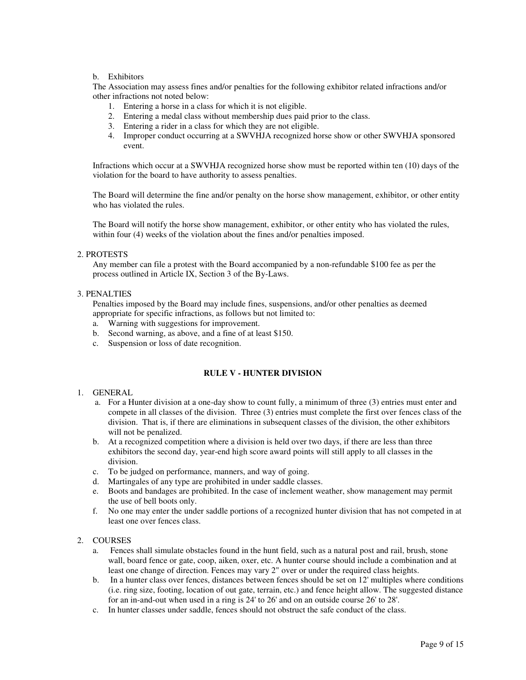## b. Exhibitors

The Association may assess fines and/or penalties for the following exhibitor related infractions and/or other infractions not noted below:

- 1. Entering a horse in a class for which it is not eligible.
- 2. Entering a medal class without membership dues paid prior to the class.
- 3. Entering a rider in a class for which they are not eligible.
- 4. Improper conduct occurring at a SWVHJA recognized horse show or other SWVHJA sponsored event.

Infractions which occur at a SWVHJA recognized horse show must be reported within ten (10) days of the violation for the board to have authority to assess penalties.

The Board will determine the fine and/or penalty on the horse show management, exhibitor, or other entity who has violated the rules.

The Board will notify the horse show management, exhibitor, or other entity who has violated the rules, within four (4) weeks of the violation about the fines and/or penalties imposed.

#### 2. PROTESTS

Any member can file a protest with the Board accompanied by a non-refundable \$100 fee as per the process outlined in Article IX, Section 3 of the By-Laws.

#### 3. PENALTIES

Penalties imposed by the Board may include fines, suspensions, and/or other penalties as deemed appropriate for specific infractions, as follows but not limited to:

- a. Warning with suggestions for improvement.
- b. Second warning, as above, and a fine of at least \$150.
- c. Suspension or loss of date recognition.

## **RULE V - HUNTER DIVISION**

### 1. GENERAL

- a. For a Hunter division at a one-day show to count fully, a minimum of three (3) entries must enter and compete in all classes of the division. Three (3) entries must complete the first over fences class of the division. That is, if there are eliminations in subsequent classes of the division, the other exhibitors will not be penalized.
- b. At a recognized competition where a division is held over two days, if there are less than three exhibitors the second day, year-end high score award points will still apply to all classes in the division.
- c. To be judged on performance, manners, and way of going.
- d. Martingales of any type are prohibited in under saddle classes.
- e. Boots and bandages are prohibited. In the case of inclement weather, show management may permit the use of bell boots only.
- f. No one may enter the under saddle portions of a recognized hunter division that has not competed in at least one over fences class.

## 2. COURSES

- a. Fences shall simulate obstacles found in the hunt field, such as a natural post and rail, brush, stone wall, board fence or gate, coop, aiken, oxer, etc. A hunter course should include a combination and at least one change of direction. Fences may vary 2" over or under the required class heights.
- b. In a hunter class over fences, distances between fences should be set on 12' multiples where conditions (i.e. ring size, footing, location of out gate, terrain, etc.) and fence height allow. The suggested distance for an in-and-out when used in a ring is 24' to 26' and on an outside course 26' to 28'.
- c. In hunter classes under saddle, fences should not obstruct the safe conduct of the class.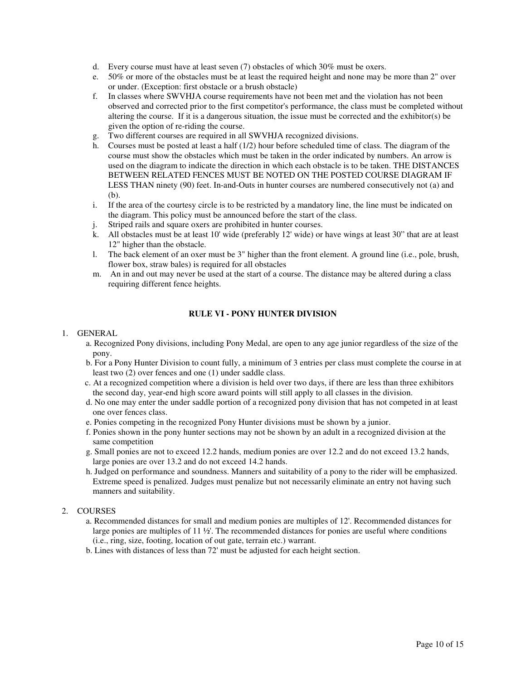- d. Every course must have at least seven (7) obstacles of which 30% must be oxers.
- e. 50% or more of the obstacles must be at least the required height and none may be more than 2" over or under. (Exception: first obstacle or a brush obstacle)
- f. In classes where SWVHJA course requirements have not been met and the violation has not been observed and corrected prior to the first competitor's performance, the class must be completed without altering the course. If it is a dangerous situation, the issue must be corrected and the exhibitor(s) be given the option of re-riding the course.
- g. Two different courses are required in all SWVHJA recognized divisions.
- h. Courses must be posted at least a half (1/2) hour before scheduled time of class. The diagram of the course must show the obstacles which must be taken in the order indicated by numbers. An arrow is used on the diagram to indicate the direction in which each obstacle is to be taken. THE DISTANCES BETWEEN RELATED FENCES MUST BE NOTED ON THE POSTED COURSE DIAGRAM IF LESS THAN ninety (90) feet. In-and-Outs in hunter courses are numbered consecutively not (a) and (b).
- i. If the area of the courtesy circle is to be restricted by a mandatory line, the line must be indicated on the diagram. This policy must be announced before the start of the class.
- j. Striped rails and square oxers are prohibited in hunter courses.
- k. All obstacles must be at least 10' wide (preferably 12' wide) or have wings at least 30" that are at least 12" higher than the obstacle.
- l. The back element of an oxer must be 3" higher than the front element. A ground line (i.e., pole, brush, flower box, straw bales) is required for all obstacles
- m. An in and out may never be used at the start of a course. The distance may be altered during a class requiring different fence heights.

## **RULE VI - PONY HUNTER DIVISION**

#### 1. GENERAL

- a. Recognized Pony divisions, including Pony Medal, are open to any age junior regardless of the size of the pony.
- b. For a Pony Hunter Division to count fully, a minimum of 3 entries per class must complete the course in at least two (2) over fences and one (1) under saddle class.
- c. At a recognized competition where a division is held over two days, if there are less than three exhibitors the second day, year-end high score award points will still apply to all classes in the division.
- d. No one may enter the under saddle portion of a recognized pony division that has not competed in at least one over fences class.
- e. Ponies competing in the recognized Pony Hunter divisions must be shown by a junior.
- f. Ponies shown in the pony hunter sections may not be shown by an adult in a recognized division at the same competition
- g. Small ponies are not to exceed 12.2 hands, medium ponies are over 12.2 and do not exceed 13.2 hands, large ponies are over 13.2 and do not exceed 14.2 hands.
- h. Judged on performance and soundness. Manners and suitability of a pony to the rider will be emphasized. Extreme speed is penalized. Judges must penalize but not necessarily eliminate an entry not having such manners and suitability.
- 2. COURSES
	- a. Recommended distances for small and medium ponies are multiples of 12'. Recommended distances for large ponies are multiples of 11 ½'. The recommended distances for ponies are useful where conditions (i.e., ring, size, footing, location of out gate, terrain etc.) warrant.
	- b. Lines with distances of less than 72' must be adjusted for each height section.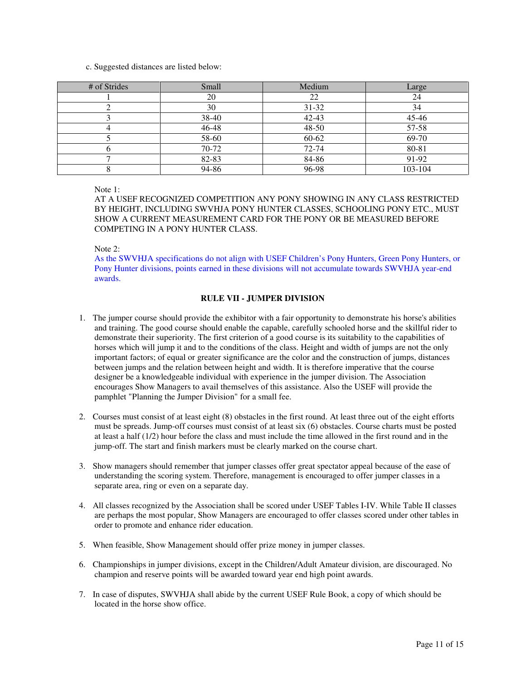c. Suggested distances are listed below:

| # of Strides | Small | Medium    | Large   |
|--------------|-------|-----------|---------|
|              | 20    | 22        | 24      |
|              | 30    | $31 - 32$ | 34      |
|              | 38-40 | 42-43     | 45-46   |
|              | 46-48 | 48-50     | 57-58   |
|              | 58-60 | 60-62     | 69-70   |
|              | 70-72 | 72-74     | 80-81   |
|              | 82-83 | 84-86     | 91-92   |
|              | 94-86 | 96-98     | 103-104 |

Note 1:

AT A USEF RECOGNIZED COMPETITION ANY PONY SHOWING IN ANY CLASS RESTRICTED BY HEIGHT, INCLUDING SWVHJA PONY HUNTER CLASSES, SCHOOLING PONY ETC., MUST SHOW A CURRENT MEASUREMENT CARD FOR THE PONY OR BE MEASURED BEFORE COMPETING IN A PONY HUNTER CLASS.

Note 2:

As the SWVHJA specifications do not align with USEF Children's Pony Hunters, Green Pony Hunters, or Pony Hunter divisions, points earned in these divisions will not accumulate towards SWVHJA year-end awards.

## **RULE VII - JUMPER DIVISION**

- 1. The jumper course should provide the exhibitor with a fair opportunity to demonstrate his horse's abilities and training. The good course should enable the capable, carefully schooled horse and the skillful rider to demonstrate their superiority. The first criterion of a good course is its suitability to the capabilities of horses which will jump it and to the conditions of the class. Height and width of jumps are not the only important factors; of equal or greater significance are the color and the construction of jumps, distances between jumps and the relation between height and width. It is therefore imperative that the course designer be a knowledgeable individual with experience in the jumper division. The Association encourages Show Managers to avail themselves of this assistance. Also the USEF will provide the pamphlet "Planning the Jumper Division" for a small fee.
- 2. Courses must consist of at least eight (8) obstacles in the first round. At least three out of the eight efforts must be spreads. Jump-off courses must consist of at least six (6) obstacles. Course charts must be posted at least a half (1/2) hour before the class and must include the time allowed in the first round and in the jump-off. The start and finish markers must be clearly marked on the course chart.
- 3. Show managers should remember that jumper classes offer great spectator appeal because of the ease of understanding the scoring system. Therefore, management is encouraged to offer jumper classes in a separate area, ring or even on a separate day.
- 4. All classes recognized by the Association shall be scored under USEF Tables I-IV. While Table II classes are perhaps the most popular, Show Managers are encouraged to offer classes scored under other tables in order to promote and enhance rider education.
- 5. When feasible, Show Management should offer prize money in jumper classes.
- 6. Championships in jumper divisions, except in the Children/Adult Amateur division, are discouraged. No champion and reserve points will be awarded toward year end high point awards.
- 7. In case of disputes, SWVHJA shall abide by the current USEF Rule Book, a copy of which should be located in the horse show office.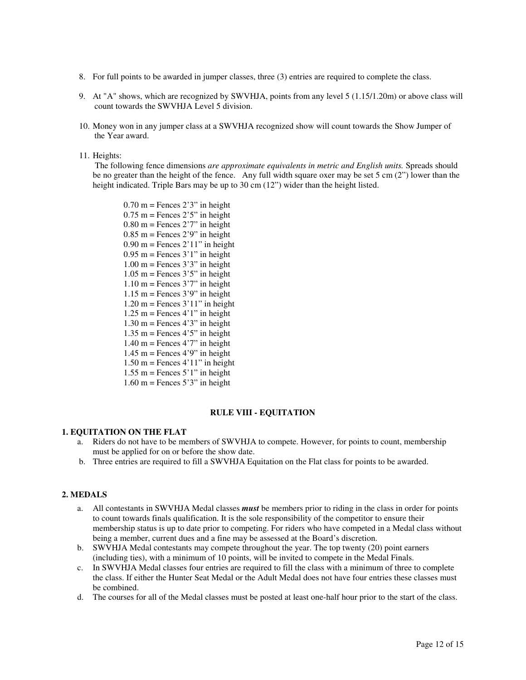- 8. For full points to be awarded in jumper classes, three (3) entries are required to complete the class.
- 9. At "A" shows, which are recognized by SWVHJA, points from any level 5 (1.15/1.20m) or above class will count towards the SWVHJA Level 5 division.
- 10. Money won in any jumper class at a SWVHJA recognized show will count towards the Show Jumper of the Year award.
- 11. Heights:

 The following fence dimensions *are approximate equivalents in metric and English units.* Spreads should be no greater than the height of the fence. Any full width square oxer may be set 5 cm (2") lower than the height indicated. Triple Bars may be up to 30 cm (12") wider than the height listed.

 $0.70$  m = Fences  $2'3''$  in height  $0.75$  m = Fences  $2'5''$  in height  $0.80$  m = Fences  $2'7''$  in height  $0.85$  m = Fences 2'9" in height  $0.90$  m = Fences  $2'11''$  in height  $0.95$  m = Fences  $3'1''$  in height  $1.00 \text{ m}$  = Fences 3'3" in height  $1.05$  m = Fences  $3'5''$  in height  $1.10 \text{ m}$  = Fences 3'7" in height  $1.15$  m = Fences 3'9" in height  $1.20 \text{ m}$  = Fences  $3'11''$  in height 1.25 m = Fences  $4'1''$  in height  $1.30 \text{ m}$  = Fences  $4'3''$  in height  $1.35$  m = Fences  $4'5''$  in height  $1.40 \text{ m}$  = Fences 4'7" in height  $1.45$  m = Fences 4'9" in height  $1.50$  m = Fences  $4'11''$  in height  $1.55$  m = Fences  $5'1''$  in height  $1.60 \text{ m}$  = Fences 5'3" in height

## **RULE VIII - EQUITATION**

## **1. EQUITATION ON THE FLAT**

- a. Riders do not have to be members of SWVHJA to compete. However, for points to count, membership must be applied for on or before the show date.
- b. Three entries are required to fill a SWVHJA Equitation on the Flat class for points to be awarded.

#### **2. MEDALS**

- a. All contestants in SWVHJA Medal classes *must* be members prior to riding in the class in order for points to count towards finals qualification. It is the sole responsibility of the competitor to ensure their membership status is up to date prior to competing. For riders who have competed in a Medal class without being a member, current dues and a fine may be assessed at the Board's discretion.
- b. SWVHJA Medal contestants may compete throughout the year. The top twenty (20) point earners (including ties), with a minimum of 10 points, will be invited to compete in the Medal Finals.
- c. In SWVHJA Medal classes four entries are required to fill the class with a minimum of three to complete the class. If either the Hunter Seat Medal or the Adult Medal does not have four entries these classes must be combined.
- d. The courses for all of the Medal classes must be posted at least one-half hour prior to the start of the class.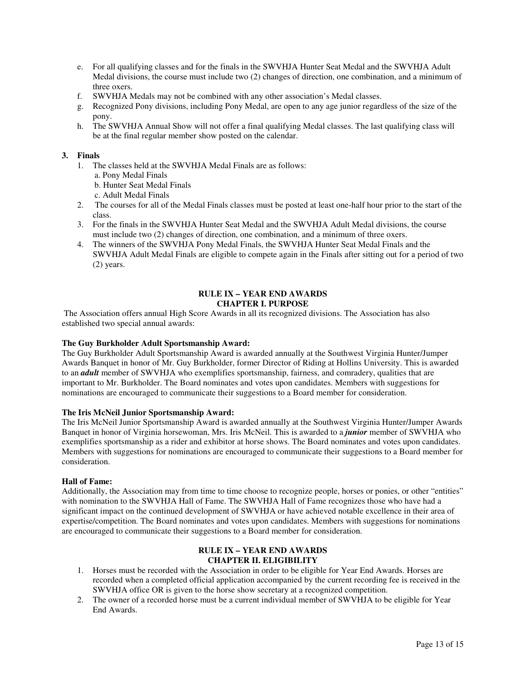- e. For all qualifying classes and for the finals in the SWVHJA Hunter Seat Medal and the SWVHJA Adult Medal divisions, the course must include two (2) changes of direction, one combination, and a minimum of three oxers.
- f. SWVHJA Medals may not be combined with any other association's Medal classes.
- g. Recognized Pony divisions, including Pony Medal, are open to any age junior regardless of the size of the pony.
- h. The SWVHJA Annual Show will not offer a final qualifying Medal classes. The last qualifying class will be at the final regular member show posted on the calendar.

### **3. Finals**

- 1. The classes held at the SWVHJA Medal Finals are as follows:
	- a. Pony Medal Finals
	- b. Hunter Seat Medal Finals
	- c. Adult Medal Finals
- 2. The courses for all of the Medal Finals classes must be posted at least one-half hour prior to the start of the class.
- 3. For the finals in the SWVHJA Hunter Seat Medal and the SWVHJA Adult Medal divisions, the course must include two (2) changes of direction, one combination, and a minimum of three oxers.
- 4. The winners of the SWVHJA Pony Medal Finals, the SWVHJA Hunter Seat Medal Finals and the SWVHJA Adult Medal Finals are eligible to compete again in the Finals after sitting out for a period of two (2) years.

### **RULE IX – YEAR END AWARDS CHAPTER I. PURPOSE**

 The Association offers annual High Score Awards in all its recognized divisions. The Association has also established two special annual awards:

#### **The Guy Burkholder Adult Sportsmanship Award:**

The Guy Burkholder Adult Sportsmanship Award is awarded annually at the Southwest Virginia Hunter/Jumper Awards Banquet in honor of Mr. Guy Burkholder, former Director of Riding at Hollins University. This is awarded to an *adult* member of SWVHJA who exemplifies sportsmanship, fairness, and comradery, qualities that are important to Mr. Burkholder. The Board nominates and votes upon candidates. Members with suggestions for nominations are encouraged to communicate their suggestions to a Board member for consideration.

#### **The Iris McNeil Junior Sportsmanship Award:**

The Iris McNeil Junior Sportsmanship Award is awarded annually at the Southwest Virginia Hunter/Jumper Awards Banquet in honor of Virginia horsewoman, Mrs. Iris McNeil. This is awarded to a *junior* member of SWVHJA who exemplifies sportsmanship as a rider and exhibitor at horse shows. The Board nominates and votes upon candidates. Members with suggestions for nominations are encouraged to communicate their suggestions to a Board member for consideration.

### **Hall of Fame:**

Additionally, the Association may from time to time choose to recognize people, horses or ponies, or other "entities" with nomination to the SWVHJA Hall of Fame. The SWVHJA Hall of Fame recognizes those who have had a significant impact on the continued development of SWVHJA or have achieved notable excellence in their area of expertise/competition. The Board nominates and votes upon candidates. Members with suggestions for nominations are encouraged to communicate their suggestions to a Board member for consideration.

### **RULE IX – YEAR END AWARDS CHAPTER II. ELIGIBILITY**

- 1. Horses must be recorded with the Association in order to be eligible for Year End Awards. Horses are recorded when a completed official application accompanied by the current recording fee is received in the SWVHJA office OR is given to the horse show secretary at a recognized competition.
- 2. The owner of a recorded horse must be a current individual member of SWVHJA to be eligible for Year End Awards.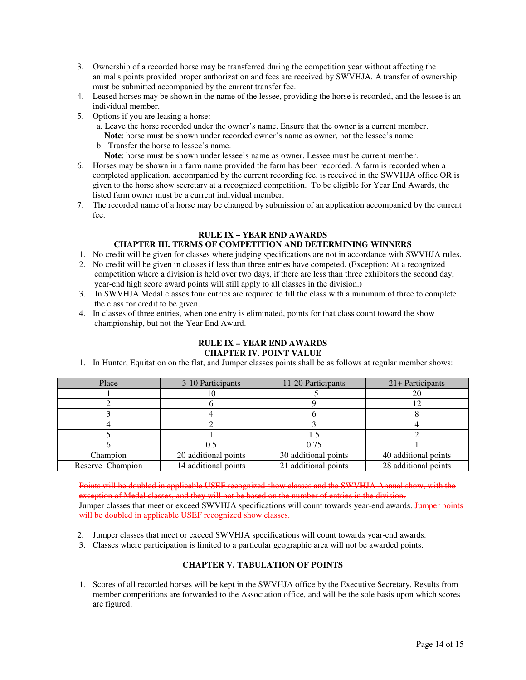- 3. Ownership of a recorded horse may be transferred during the competition year without affecting the animal's points provided proper authorization and fees are received by SWVHJA. A transfer of ownership must be submitted accompanied by the current transfer fee.
- 4. Leased horses may be shown in the name of the lessee, providing the horse is recorded, and the lessee is an individual member.
- 5. Options if you are leasing a horse:
	- a. Leave the horse recorded under the owner's name. Ensure that the owner is a current member. **Note**: horse must be shown under recorded owner's name as owner, not the lessee's name.
	- b. Transfer the horse to lessee's name.
		- **Note**: horse must be shown under lessee's name as owner. Lessee must be current member.
- 6. Horses may be shown in a farm name provided the farm has been recorded. A farm is recorded when a completed application, accompanied by the current recording fee, is received in the SWVHJA office OR is given to the horse show secretary at a recognized competition. To be eligible for Year End Awards, the listed farm owner must be a current individual member.
- 7. The recorded name of a horse may be changed by submission of an application accompanied by the current fee.

### **RULE IX – YEAR END AWARDS**

## **CHAPTER III. TERMS OF COMPETITION AND DETERMINING WINNERS**

- 1. No credit will be given for classes where judging specifications are not in accordance with SWVHJA rules.
- 2. No credit will be given in classes if less than three entries have competed. (Exception: At a recognized competition where a division is held over two days, if there are less than three exhibitors the second day, year-end high score award points will still apply to all classes in the division.)
- 3. In SWVHJA Medal classes four entries are required to fill the class with a minimum of three to complete the class for credit to be given.
- 4. In classes of three entries, when one entry is eliminated, points for that class count toward the show championship, but not the Year End Award.

#### **RULE IX – YEAR END AWARDS CHAPTER IV. POINT VALUE**

1. In Hunter, Equitation on the flat, and Jumper classes points shall be as follows at regular member shows:

| Place            | 3-10 Participants    | 11-20 Participants   | $21 +$ Participants  |
|------------------|----------------------|----------------------|----------------------|
|                  |                      |                      |                      |
|                  |                      |                      |                      |
|                  |                      |                      |                      |
|                  |                      |                      |                      |
|                  |                      |                      |                      |
|                  | 0.5                  | 0.75                 |                      |
| Champion         | 20 additional points | 30 additional points | 40 additional points |
| Reserve Champion | 14 additional points | 21 additional points | 28 additional points |

Points will be doubled in applicable USEF recognized show classes and the SWVHJA Annual show, with the exception of Medal classes, and they will not be based on the number of entries in the division. Jumper classes that meet or exceed SWVHJA specifications will count towards year-end awards. Jumper points will be doubled in applicable USEF recognized show classes.

- 2. Jumper classes that meet or exceed SWVHJA specifications will count towards year-end awards.
- 3. Classes where participation is limited to a particular geographic area will not be awarded points.

## **CHAPTER V. TABULATION OF POINTS**

 1. Scores of all recorded horses will be kept in the SWVHJA office by the Executive Secretary. Results from member competitions are forwarded to the Association office, and will be the sole basis upon which scores are figured.